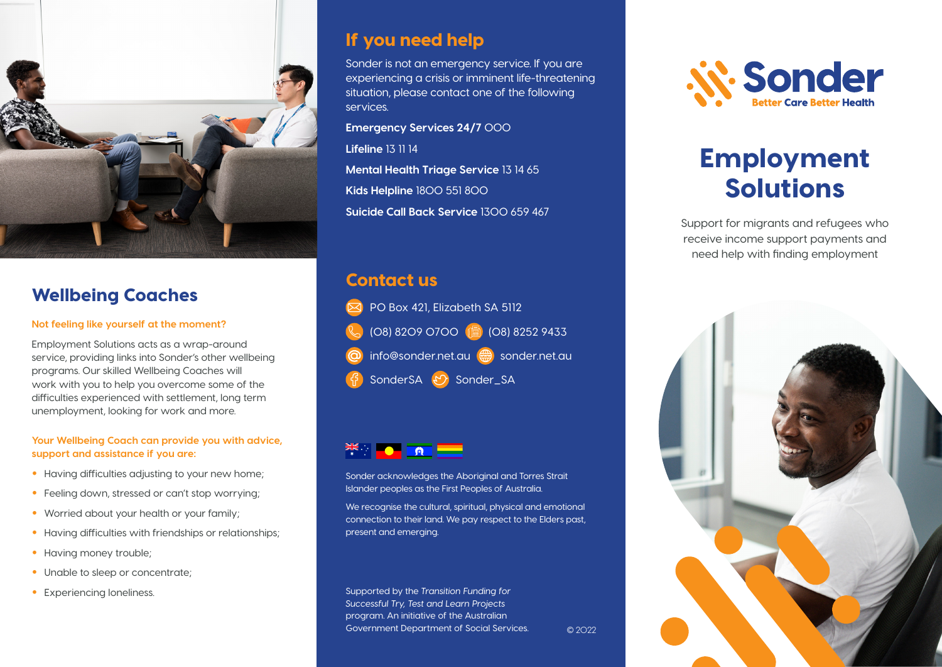

# Wellbeing Coaches

#### **Not feeling like yourself at the moment?**

Employment Solutions acts as a wrap-around service, providing links into Sonder's other wellbeing programs. Our skilled Wellbeing Coaches will work with you to help you overcome some of the difficulties experienced with settlement, long term unemployment, looking for work and more.

#### **Your Wellbeing Coach can provide you with advice, support and assistance if you are:**

- Having difficulties adjusting to your new home;
- Feeling down, stressed or can't stop worrying;
- Worried about your health or your family;
- Having difficulties with friendships or relationships;
- Having money trouble;
- Unable to sleep or concentrate;
- 

# If you need help

Sonder is not an emergency service. If you are experiencing a crisis or imminent life-threatening situation, please contact one of the following services.

**Emergency Services 24/7** 000

**Lifeline** 13 11 14

**Mental Health Triage Service** 13 14 65 **Kids Helpline** 1800 551 800 **Suicide Call Back Service** 1300 659 467

# Contact us





Sonder acknowledges the Aboriginal and Torres Strait Islander peoples as the First Peoples of Australia.

We recognise the cultural, spiritual, physical and emotional connection to their land. We pay respect to the Elders past, present and emerging.

• Experiencing loneliness. Supported by the *Transition Funding for Successful Try, Test and Learn Projects*  program. An initiative of the Australian Government Department of Social Services.





# Employment Solutions

Support for migrants and refugees who receive income support payments and need help with finding employment